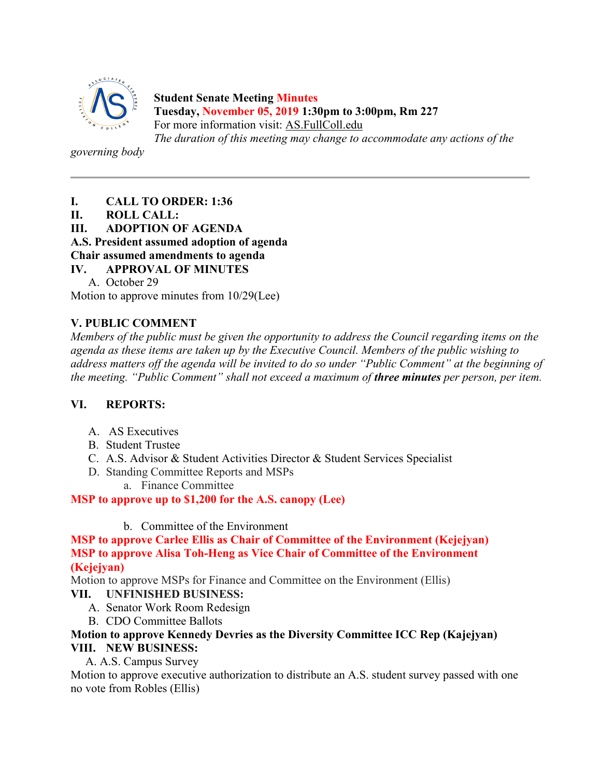

**Student Senate Meeting Minutes Tuesday, November 05, 2019 1:30pm to 3:00pm, Rm 227** For more information visit: AS.FullColl.edu *The duration of this meeting may change to accommodate any actions of the* 

*governing body*

- **I. CALL TO ORDER: 1:36**
- **II. ROLL CALL:**
- **III. ADOPTION OF AGENDA**

**A.S. President assumed adoption of agenda**

**Chair assumed amendments to agenda**

- **IV. APPROVAL OF MINUTES**
	- A. October 29

Motion to approve minutes from 10/29(Lee)

## **V. PUBLIC COMMENT**

*Members of the public must be given the opportunity to address the Council regarding items on the agenda as these items are taken up by the Executive Council. Members of the public wishing to address matters off the agenda will be invited to do so under "Public Comment" at the beginning of the meeting. "Public Comment" shall not exceed a maximum of three minutes per person, per item.*

## **VI. REPORTS:**

- A. AS Executives
- B. Student Trustee
- C. A.S. Advisor & Student Activities Director & Student Services Specialist
- D. Standing Committee Reports and MSPs
	- a. Finance Committee

**MSP to approve up to \$1,200 for the A.S. canopy (Lee)**

b. Committee of the Environment

**MSP to approve Carlee Ellis as Chair of Committee of the Environment (Kejejyan) MSP to approve Alisa Toh-Heng as Vice Chair of Committee of the Environment (Kejejyan)**

Motion to approve MSPs for Finance and Committee on the Environment (Ellis)

## **VII. UNFINISHED BUSINESS:**

- A. Senator Work Room Redesign
- B. CDO Committee Ballots

### **Motion to approve Kennedy Devries as the Diversity Committee ICC Rep (Kajejyan) VIII. NEW BUSINESS:**

A. A.S. Campus Survey

Motion to approve executive authorization to distribute an A.S. student survey passed with one no vote from Robles (Ellis)